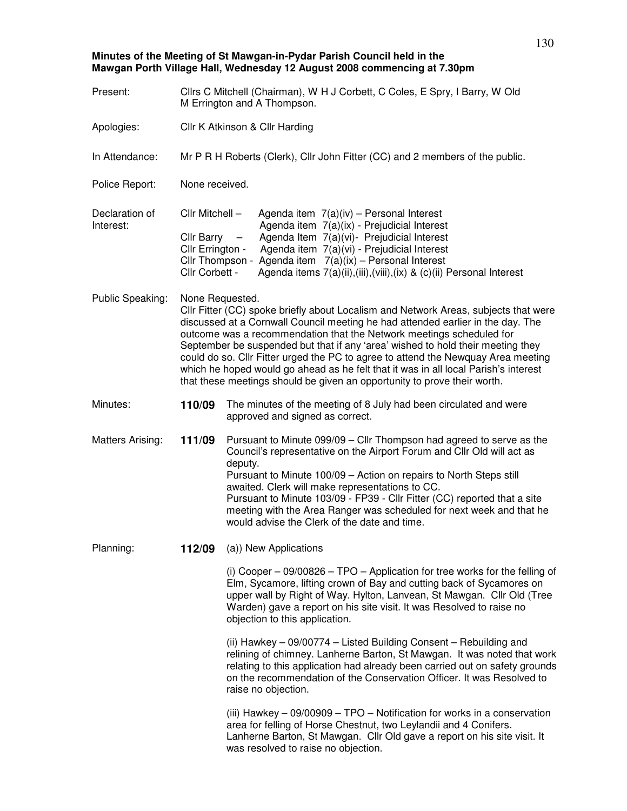**Minutes of the Meeting of St Mawgan-in-Pydar Parish Council held in the Mawgan Porth Village Hall, Wednesday 12 August 2008 commencing at 7.30pm**

| Present:                    |                                                                                                                                                                                                                                                                                                                                                                                                                                | Cllrs C Mitchell (Chairman), W H J Corbett, C Coles, E Spry, I Barry, W Old<br>M Errington and A Thompson.                                                                                                                                                                                                                                                                                                                                                                                                                                                                                |  |  |
|-----------------------------|--------------------------------------------------------------------------------------------------------------------------------------------------------------------------------------------------------------------------------------------------------------------------------------------------------------------------------------------------------------------------------------------------------------------------------|-------------------------------------------------------------------------------------------------------------------------------------------------------------------------------------------------------------------------------------------------------------------------------------------------------------------------------------------------------------------------------------------------------------------------------------------------------------------------------------------------------------------------------------------------------------------------------------------|--|--|
| Apologies:                  | Cllr K Atkinson & Cllr Harding                                                                                                                                                                                                                                                                                                                                                                                                 |                                                                                                                                                                                                                                                                                                                                                                                                                                                                                                                                                                                           |  |  |
| In Attendance:              | Mr P R H Roberts (Clerk), Cllr John Fitter (CC) and 2 members of the public.                                                                                                                                                                                                                                                                                                                                                   |                                                                                                                                                                                                                                                                                                                                                                                                                                                                                                                                                                                           |  |  |
| Police Report:              | None received.                                                                                                                                                                                                                                                                                                                                                                                                                 |                                                                                                                                                                                                                                                                                                                                                                                                                                                                                                                                                                                           |  |  |
| Declaration of<br>Interest: | Cllr Mitchell -<br>Agenda item $7(a)(iv)$ – Personal Interest<br>Agenda item 7(a)(ix) - Prejudicial Interest<br>Agenda Item 7(a)(vi)- Prejudicial Interest<br>Cllr Barry<br>$\overline{\phantom{m}}$<br>Agenda item 7(a)(vi) - Prejudicial Interest<br>Cllr Errington -<br>Cllr Thompson - Agenda item $7(a)(ix)$ - Personal Interest<br>Cllr Corbett -<br>Agenda items 7(a)(ii),(iii),(viii),(ix) & (c)(ii) Personal Interest |                                                                                                                                                                                                                                                                                                                                                                                                                                                                                                                                                                                           |  |  |
| Public Speaking:            | None Requested.                                                                                                                                                                                                                                                                                                                                                                                                                | CIIr Fitter (CC) spoke briefly about Localism and Network Areas, subjects that were<br>discussed at a Cornwall Council meeting he had attended earlier in the day. The<br>outcome was a recommendation that the Network meetings scheduled for<br>September be suspended but that if any 'area' wished to hold their meeting they<br>could do so. Cllr Fitter urged the PC to agree to attend the Newquay Area meeting<br>which he hoped would go ahead as he felt that it was in all local Parish's interest<br>that these meetings should be given an opportunity to prove their worth. |  |  |
| Minutes:                    | 110/09                                                                                                                                                                                                                                                                                                                                                                                                                         | The minutes of the meeting of 8 July had been circulated and were<br>approved and signed as correct.                                                                                                                                                                                                                                                                                                                                                                                                                                                                                      |  |  |
| <b>Matters Arising:</b>     | 111/09                                                                                                                                                                                                                                                                                                                                                                                                                         | Pursuant to Minute 099/09 - Cllr Thompson had agreed to serve as the<br>Council's representative on the Airport Forum and Cllr Old will act as<br>deputy.<br>Pursuant to Minute 100/09 - Action on repairs to North Steps still<br>awaited. Clerk will make representations to CC.<br>Pursuant to Minute 103/09 - FP39 - Cllr Fitter (CC) reported that a site<br>meeting with the Area Ranger was scheduled for next week and that he<br>would advise the Clerk of the date and time.                                                                                                    |  |  |
| Planning:                   | 112/09                                                                                                                                                                                                                                                                                                                                                                                                                         | (a)) New Applications                                                                                                                                                                                                                                                                                                                                                                                                                                                                                                                                                                     |  |  |
|                             |                                                                                                                                                                                                                                                                                                                                                                                                                                | (i) Cooper $-$ 09/00826 $-$ TPO $-$ Application for tree works for the felling of<br>Elm, Sycamore, lifting crown of Bay and cutting back of Sycamores on<br>upper wall by Right of Way. Hylton, Lanvean, St Mawgan. Cllr Old (Tree<br>Warden) gave a report on his site visit. It was Resolved to raise no<br>objection to this application.                                                                                                                                                                                                                                             |  |  |
|                             |                                                                                                                                                                                                                                                                                                                                                                                                                                | (ii) Hawkey - 09/00774 - Listed Building Consent - Rebuilding and<br>relining of chimney. Lanherne Barton, St Mawgan. It was noted that work<br>relating to this application had already been carried out on safety grounds<br>on the recommendation of the Conservation Officer. It was Resolved to<br>raise no objection.                                                                                                                                                                                                                                                               |  |  |
|                             |                                                                                                                                                                                                                                                                                                                                                                                                                                | (iii) Hawkey $-$ 09/00909 $-$ TPO $-$ Notification for works in a conservation<br>area for felling of Horse Chestnut, two Leylandii and 4 Conifers.<br>Lanherne Barton, St Mawgan. Cllr Old gave a report on his site visit. It<br>was resolved to raise no objection.                                                                                                                                                                                                                                                                                                                    |  |  |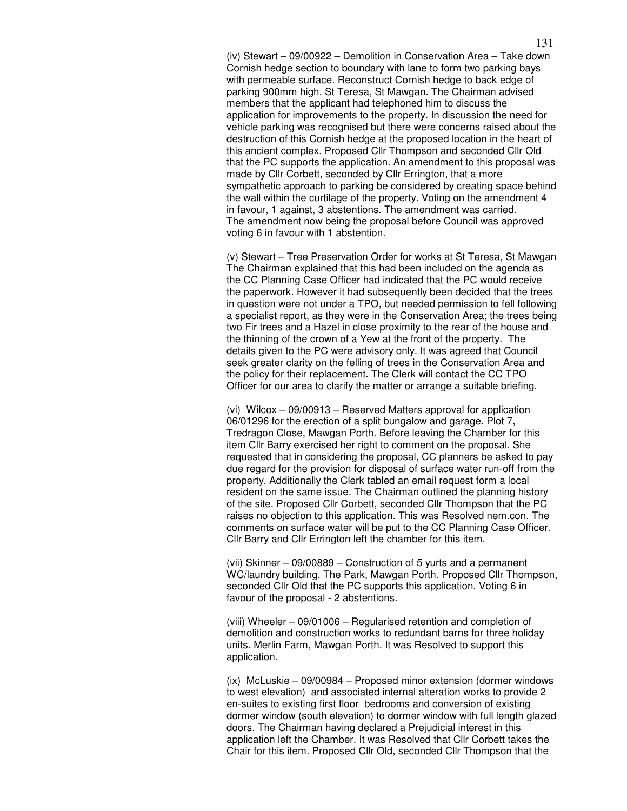(iv) Stewart – 09/00922 – Demolition in Conservation Area – Take down Cornish hedge section to boundary with lane to form two parking bays with permeable surface. Reconstruct Cornish hedge to back edge of parking 900mm high. St Teresa, St Mawgan. The Chairman advised members that the applicant had telephoned him to discuss the application for improvements to the property. In discussion the need for vehicle parking was recognised but there were concerns raised about the destruction of this Cornish hedge at the proposed location in the heart of this ancient complex. Proposed Cllr Thompson and seconded Cllr Old that the PC supports the application. An amendment to this proposal was made by Cllr Corbett, seconded by Cllr Errington, that a more sympathetic approach to parking be considered by creating space behind the wall within the curtilage of the property. Voting on the amendment 4 in favour, 1 against, 3 abstentions. The amendment was carried. The amendment now being the proposal before Council was approved voting 6 in favour with 1 abstention.

(v) Stewart – Tree Preservation Order for works at St Teresa, St Mawgan The Chairman explained that this had been included on the agenda as the CC Planning Case Officer had indicated that the PC would receive the paperwork. However it had subsequently been decided that the trees in question were not under a TPO, but needed permission to fell following a specialist report, as they were in the Conservation Area; the trees being two Fir trees and a Hazel in close proximity to the rear of the house and the thinning of the crown of a Yew at the front of the property. The details given to the PC were advisory only. It was agreed that Council seek greater clarity on the felling of trees in the Conservation Area and the policy for their replacement. The Clerk will contact the CC TPO Officer for our area to clarify the matter or arrange a suitable briefing.

(vi) Wilcox – 09/00913 – Reserved Matters approval for application 06/01296 for the erection of a split bungalow and garage. Plot 7, Tredragon Close, Mawgan Porth. Before leaving the Chamber for this item Cllr Barry exercised her right to comment on the proposal. She requested that in considering the proposal, CC planners be asked to pay due regard for the provision for disposal of surface water run-off from the property. Additionally the Clerk tabled an email request form a local resident on the same issue. The Chairman outlined the planning history of the site. Proposed Cllr Corbett, seconded Cllr Thompson that the PC raises no objection to this application. This was Resolved nem.con. The comments on surface water will be put to the CC Planning Case Officer. Cllr Barry and Cllr Errington left the chamber for this item.

(vii) Skinner – 09/00889 – Construction of 5 yurts and a permanent WC/laundry building. The Park, Mawgan Porth. Proposed Cllr Thompson, seconded Cllr Old that the PC supports this application. Voting 6 in favour of the proposal - 2 abstentions.

(viii) Wheeler – 09/01006 – Regularised retention and completion of demolition and construction works to redundant barns for three holiday units. Merlin Farm, Mawgan Porth. It was Resolved to support this application.

(ix) McLuskie – 09/00984 – Proposed minor extension (dormer windows to west elevation) and associated internal alteration works to provide 2 en-suites to existing first floor bedrooms and conversion of existing dormer window (south elevation) to dormer window with full length glazed doors. The Chairman having declared a Prejudicial interest in this application left the Chamber. It was Resolved that Cllr Corbett takes the Chair for this item. Proposed Cllr Old, seconded Cllr Thompson that the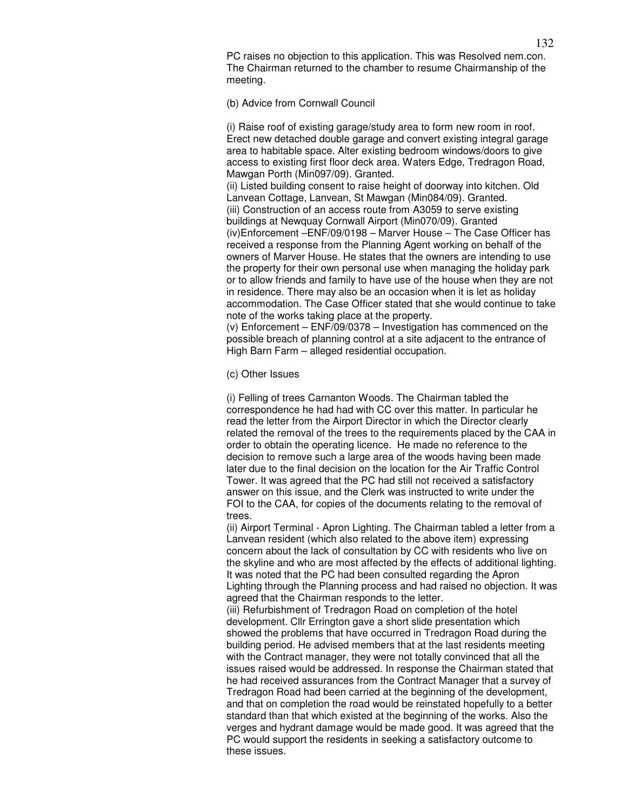PC raises no objection to this application. This was Resolved nem.con. The Chairman returned to the chamber to resume Chairmanship of the meeting.

## (b) Advice from Cornwall Council

(i) Raise roof of existing garage/study area to form new room in roof. Erect new detached double garage and convert existing integral garage area to habitable space. Alter existing bedroom windows/doors to give access to existing first floor deck area. Waters Edge, Tredragon Road, Mawgan Porth (Min097/09). Granted.

(ii) Listed building consent to raise height of doorway into kitchen. Old Lanvean Cottage, Lanvean, St Mawgan (Min084/09). Granted. (iii) Construction of an access route from A3059 to serve existing buildings at Newquay Cornwall Airport (Min070/09). Granted (iv)Enforcement –ENF/09/0198 – Marver House – The Case Officer has received a response from the Planning Agent working on behalf of the owners of Marver House. He states that the owners are intending to use the property for their own personal use when managing the holiday park or to allow friends and family to have use of the house when they are not in residence. There may also be an occasion when it is let as holiday accommodation. The Case Officer stated that she would continue to take note of the works taking place at the property.

(v) Enforcement – ENF/09/0378 – Investigation has commenced on the possible breach of planning control at a site adjacent to the entrance of High Barn Farm – alleged residential occupation.

## (c) Other Issues

(i) Felling of trees Carnanton Woods. The Chairman tabled the correspondence he had had with CC over this matter. In particular he read the letter from the Airport Director in which the Director clearly related the removal of the trees to the requirements placed by the CAA in order to obtain the operating licence. He made no reference to the decision to remove such a large area of the woods having been made later due to the final decision on the location for the Air Traffic Control Tower. It was agreed that the PC had still not received a satisfactory answer on this issue, and the Clerk was instructed to write under the FOI to the CAA, for copies of the documents relating to the removal of trees.

(ii) Airport Terminal - Apron Lighting. The Chairman tabled a letter from a Lanvean resident (which also related to the above item) expressing concern about the lack of consultation by CC with residents who live on the skyline and who are most affected by the effects of additional lighting. It was noted that the PC had been consulted regarding the Apron Lighting through the Planning process and had raised no objection. It was agreed that the Chairman responds to the letter.

(iii) Refurbishment of Tredragon Road on completion of the hotel development. Cllr Errington gave a short slide presentation which showed the problems that have occurred in Tredragon Road during the building period. He advised members that at the last residents meeting with the Contract manager, they were not totally convinced that all the issues raised would be addressed. In response the Chairman stated that he had received assurances from the Contract Manager that a survey of Tredragon Road had been carried at the beginning of the development, and that on completion the road would be reinstated hopefully to a better standard than that which existed at the beginning of the works. Also the verges and hydrant damage would be made good. It was agreed that the PC would support the residents in seeking a satisfactory outcome to these issues.